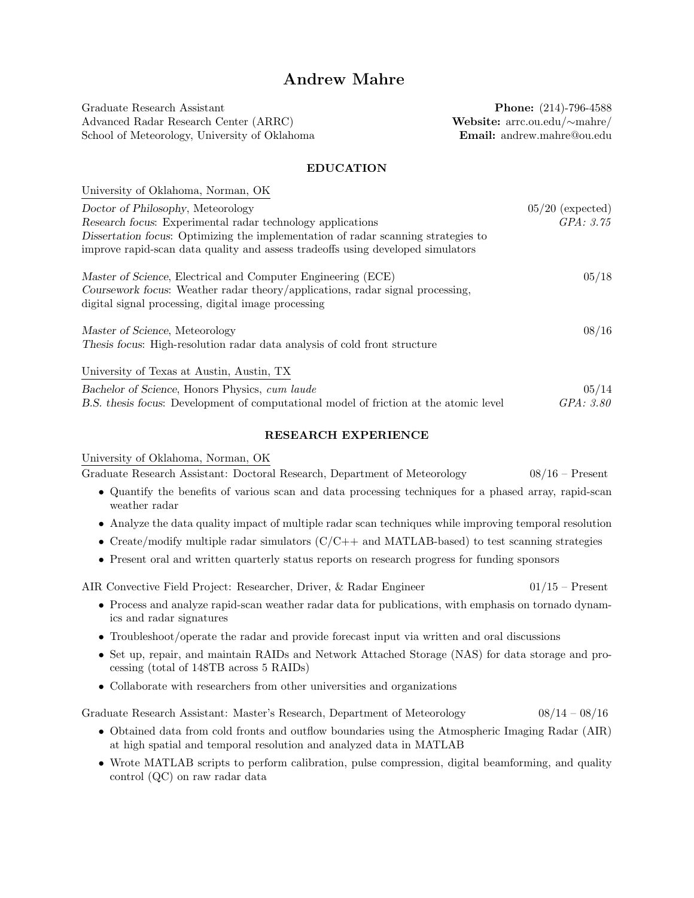# Andrew Mahre

Graduate Research Assistant **Phone:** (214)-796-4588 Advanced Radar Research Center (ARRC) Website: arrc.ou.edu/∼mahre/ School of Meteorology, University of Oklahoma **Email:** andrew.mahre@ou.edu

## EDUCATION

| University of Oklahoma, Norman, OK                                                    |                    |
|---------------------------------------------------------------------------------------|--------------------|
| Doctor of Philosophy, Meteorology                                                     | $05/20$ (expected) |
| Research focus: Experimental radar technology applications                            | GPA: 3.75          |
| Dissertation focus: Optimizing the implementation of radar scanning strategies to     |                    |
| improve rapid-scan data quality and assess tradeoffs using developed simulators       |                    |
| Master of Science, Electrical and Computer Engineering (ECE)                          | 05/18              |
| Coursework focus: Weather radar theory/applications, radar signal processing,         |                    |
| digital signal processing, digital image processing                                   |                    |
| Master of Science, Meteorology                                                        | 08/16              |
| Thesis focus: High-resolution radar data analysis of cold front structure             |                    |
| University of Texas at Austin, Austin, TX                                             |                    |
| Bachelor of Science, Honors Physics, cum laude                                        | 05/14              |
| B.S. thesis focus: Development of computational model of friction at the atomic level | GPA: 3.80          |

#### RESEARCH EXPERIENCE

University of Oklahoma, Norman, OK

Graduate Research Assistant: Doctoral Research, Department of Meteorology 08/16 – Present

- Quantify the benefits of various scan and data processing techniques for a phased array, rapid-scan weather radar
- Analyze the data quality impact of multiple radar scan techniques while improving temporal resolution
- Create/modify multiple radar simulators  $(C/C++$  and MATLAB-based) to test scanning strategies
- Present oral and written quarterly status reports on research progress for funding sponsors

AIR Convective Field Project: Researcher, Driver, & Radar Engineer 01/15 – Present

- Process and analyze rapid-scan weather radar data for publications, with emphasis on tornado dynamics and radar signatures
- Troubleshoot/operate the radar and provide forecast input via written and oral discussions
- Set up, repair, and maintain RAIDs and Network Attached Storage (NAS) for data storage and processing (total of 148TB across 5 RAIDs)
- Collaborate with researchers from other universities and organizations

Graduate Research Assistant: Master's Research, Department of Meteorology 08/14 – 08/16

- Obtained data from cold fronts and outflow boundaries using the Atmospheric Imaging Radar (AIR) at high spatial and temporal resolution and analyzed data in MATLAB
- Wrote MATLAB scripts to perform calibration, pulse compression, digital beamforming, and quality control (QC) on raw radar data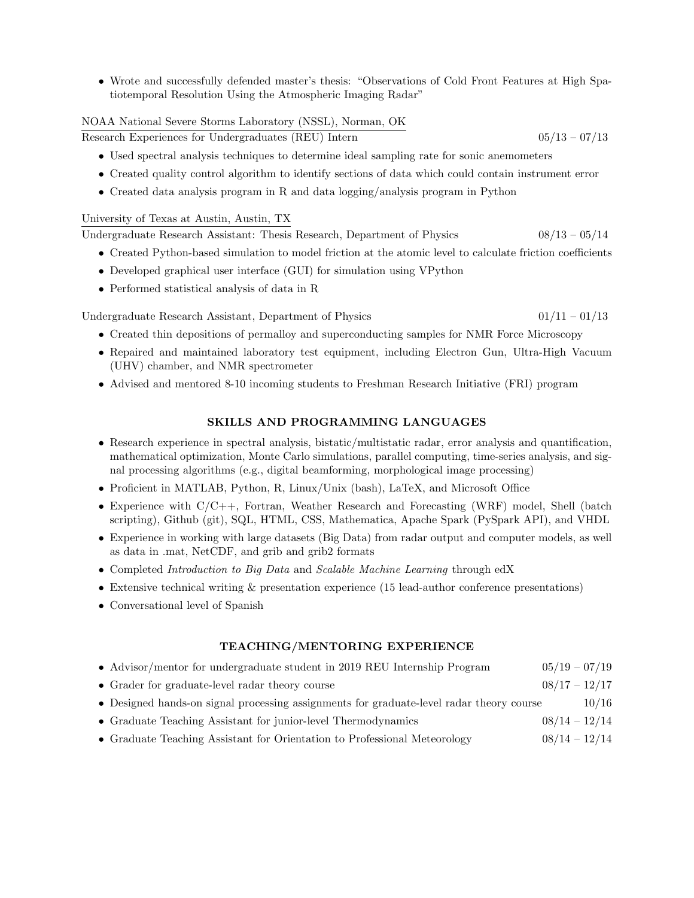• Wrote and successfully defended master's thesis: "Observations of Cold Front Features at High Spatiotemporal Resolution Using the Atmospheric Imaging Radar"

## NOAA National Severe Storms Laboratory (NSSL), Norman, OK

Research Experiences for Undergraduates (REU) Intern 05/13 – 07/13

- Used spectral analysis techniques to determine ideal sampling rate for sonic anemometers
- Created quality control algorithm to identify sections of data which could contain instrument error
- Created data analysis program in R and data logging/analysis program in Python

## University of Texas at Austin, Austin, TX

Undergraduate Research Assistant: Thesis Research, Department of Physics 08/13 – 05/14

- Created Python-based simulation to model friction at the atomic level to calculate friction coefficients
- Developed graphical user interface (GUI) for simulation using VPython
- Performed statistical analysis of data in R

Undergraduate Research Assistant, Department of Physics  $01/11 - 01/13$ 

- Created thin depositions of permalloy and superconducting samples for NMR Force Microscopy
- Repaired and maintained laboratory test equipment, including Electron Gun, Ultra-High Vacuum (UHV) chamber, and NMR spectrometer
- Advised and mentored 8-10 incoming students to Freshman Research Initiative (FRI) program

## SKILLS AND PROGRAMMING LANGUAGES

- Research experience in spectral analysis, bistatic/multistatic radar, error analysis and quantification, mathematical optimization, Monte Carlo simulations, parallel computing, time-series analysis, and signal processing algorithms (e.g., digital beamforming, morphological image processing)
- Proficient in MATLAB, Python, R, Linux/Unix (bash), LaTeX, and Microsoft Office
- Experience with C/C++, Fortran, Weather Research and Forecasting (WRF) model, Shell (batch scripting), Github (git), SQL, HTML, CSS, Mathematica, Apache Spark (PySpark API), and VHDL
- Experience in working with large datasets (Big Data) from radar output and computer models, as well as data in .mat, NetCDF, and grib and grib2 formats
- Completed Introduction to Big Data and Scalable Machine Learning through edX
- Extensive technical writing & presentation experience (15 lead-author conference presentations)
- Conversational level of Spanish

## TEACHING/MENTORING EXPERIENCE

| • Advisor/mentor for undergraduate student in 2019 REU Internship Program                | $05/19 - 07/19$ |       |
|------------------------------------------------------------------------------------------|-----------------|-------|
| $\bullet$ Grader for graduate-level radar theory course                                  | $08/17 - 12/17$ |       |
| • Designed hands-on signal processing assignments for graduate-level radar theory course |                 | 10/16 |
| • Graduate Teaching Assistant for junior-level Thermodynamics                            | $08/14 - 12/14$ |       |
| • Graduate Teaching Assistant for Orientation to Professional Meteorology                | $08/14 - 12/14$ |       |
|                                                                                          |                 |       |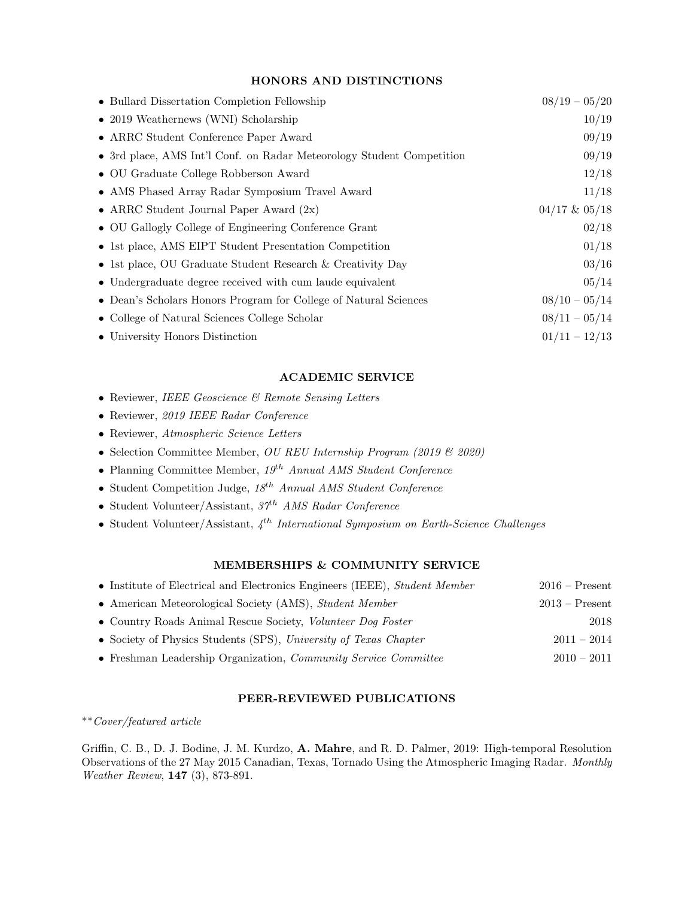## HONORS AND DISTINCTIONS

| • Bullard Dissertation Completion Fellowship                          | $08/19 - 05/20$   |
|-----------------------------------------------------------------------|-------------------|
| $\bullet$ 2019 Weathernews (WNI) Scholarship                          | 10/19             |
| • ARRC Student Conference Paper Award                                 | 09/19             |
| • 3rd place, AMS Int'l Conf. on Radar Meteorology Student Competition | 09/19             |
| • OU Graduate College Robberson Award                                 | 12/18             |
| • AMS Phased Array Radar Symposium Travel Award                       | 11/18             |
| • ARRC Student Journal Paper Award $(2x)$                             | $04/17$ & $05/18$ |
| • OU Gallogly College of Engineering Conference Grant                 | 02/18             |
| • 1st place, AMS EIPT Student Presentation Competition                | 01/18             |
| • 1st place, OU Graduate Student Research & Creativity Day            | 03/16             |
| • Undergraduate degree received with cum laude equivalent             | 05/14             |
| • Dean's Scholars Honors Program for College of Natural Sciences      | $08/10 - 05/14$   |
| • College of Natural Sciences College Scholar                         | $08/11 - 05/14$   |
| • University Honors Distinction                                       | $01/11 - 12/13$   |

### ACADEMIC SERVICE

- Reviewer, IEEE Geoscience & Remote Sensing Letters
- Reviewer, 2019 IEEE Radar Conference
- Reviewer, Atmospheric Science Letters
- Selection Committee Member, OU REU Internship Program (2019 & 2020)
- Planning Committee Member,  $19^{th}$  Annual AMS Student Conference
- Student Competition Judge,  $18^{th}$  Annual AMS Student Conference
- Student Volunteer/Assistant,  $37<sup>th</sup>$  AMS Radar Conference
- Student Volunteer/Assistant,  $4^{th}$  International Symposium on Earth-Science Challenges

## MEMBERSHIPS & COMMUNITY SERVICE

| • Institute of Electrical and Electronics Engineers (IEEE), Student Member | $2016$ – Present |
|----------------------------------------------------------------------------|------------------|
| • American Meteorological Society (AMS), Student Member                    | $2013 -$ Present |
| • Country Roads Animal Rescue Society, Volunteer Dog Foster                | 2018             |
| • Society of Physics Students (SPS), University of Texas Chapter           | $2011 - 2014$    |
| • Freshman Leadership Organization, Community Service Committee            | $2010 - 2011$    |

## PEER-REVIEWED PUBLICATIONS

\*\*Cover/featured article

Griffin, C. B., D. J. Bodine, J. M. Kurdzo, A. Mahre, and R. D. Palmer, 2019: High-temporal Resolution Observations of the 27 May 2015 Canadian, Texas, Tornado Using the Atmospheric Imaging Radar. Monthly Weather Review, 147 (3), 873-891.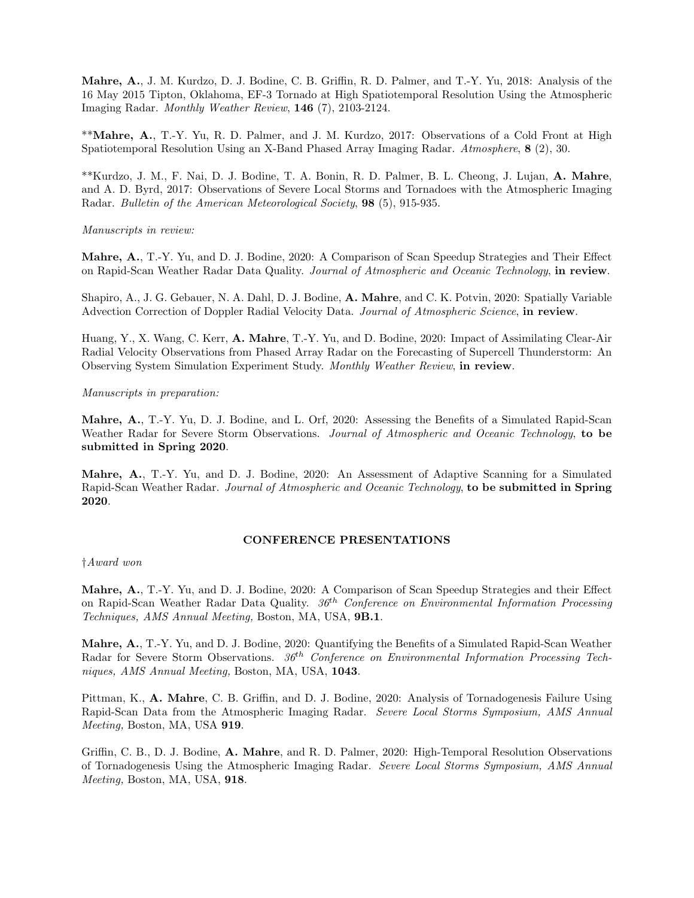Mahre, A., J. M. Kurdzo, D. J. Bodine, C. B. Griffin, R. D. Palmer, and T.-Y. Yu, 2018: Analysis of the 16 May 2015 Tipton, Oklahoma, EF-3 Tornado at High Spatiotemporal Resolution Using the Atmospheric Imaging Radar. Monthly Weather Review, 146 (7), 2103-2124.

\*\*Mahre, A., T.-Y. Yu, R. D. Palmer, and J. M. Kurdzo, 2017: Observations of a Cold Front at High Spatiotemporal Resolution Using an X-Band Phased Array Imaging Radar. Atmosphere, 8 (2), 30.

\*\*Kurdzo, J. M., F. Nai, D. J. Bodine, T. A. Bonin, R. D. Palmer, B. L. Cheong, J. Lujan, A. Mahre, and A. D. Byrd, 2017: Observations of Severe Local Storms and Tornadoes with the Atmospheric Imaging Radar. Bulletin of the American Meteorological Society, 98 (5), 915-935.

### Manuscripts in review:

Mahre, A., T.-Y. Yu, and D. J. Bodine, 2020: A Comparison of Scan Speedup Strategies and Their Effect on Rapid-Scan Weather Radar Data Quality. Journal of Atmospheric and Oceanic Technology, in review.

Shapiro, A., J. G. Gebauer, N. A. Dahl, D. J. Bodine, A. Mahre, and C. K. Potvin, 2020: Spatially Variable Advection Correction of Doppler Radial Velocity Data. Journal of Atmospheric Science, in review.

Huang, Y., X. Wang, C. Kerr, A. Mahre, T.-Y. Yu, and D. Bodine, 2020: Impact of Assimilating Clear-Air Radial Velocity Observations from Phased Array Radar on the Forecasting of Supercell Thunderstorm: An Observing System Simulation Experiment Study. Monthly Weather Review, in review.

#### Manuscripts in preparation:

Mahre, A., T.-Y. Yu, D. J. Bodine, and L. Orf, 2020: Assessing the Benefits of a Simulated Rapid-Scan Weather Radar for Severe Storm Observations. Journal of Atmospheric and Oceanic Technology, to be submitted in Spring 2020.

Mahre, A., T.-Y. Yu, and D. J. Bodine, 2020: An Assessment of Adaptive Scanning for a Simulated Rapid-Scan Weather Radar. Journal of Atmospheric and Oceanic Technology, to be submitted in Spring 2020.

### CONFERENCE PRESENTATIONS

#### †Award won

Mahre, A., T.-Y. Yu, and D. J. Bodine, 2020: A Comparison of Scan Speedup Strategies and their Effect on Rapid-Scan Weather Radar Data Quality.  $36<sup>th</sup>$  Conference on Environmental Information Processing Techniques, AMS Annual Meeting, Boston, MA, USA, 9B.1.

Mahre, A., T.-Y. Yu, and D. J. Bodine, 2020: Quantifying the Benefits of a Simulated Rapid-Scan Weather Radar for Severe Storm Observations.  $36<sup>th</sup> Conference on Environmental Information Processing Technology$ niques, AMS Annual Meeting, Boston, MA, USA, 1043.

Pittman, K., A. Mahre, C. B. Griffin, and D. J. Bodine, 2020: Analysis of Tornadogenesis Failure Using Rapid-Scan Data from the Atmospheric Imaging Radar. Severe Local Storms Symposium, AMS Annual Meeting, Boston, MA, USA 919.

Griffin, C. B., D. J. Bodine, A. Mahre, and R. D. Palmer, 2020: High-Temporal Resolution Observations of Tornadogenesis Using the Atmospheric Imaging Radar. Severe Local Storms Symposium, AMS Annual Meeting, Boston, MA, USA, 918.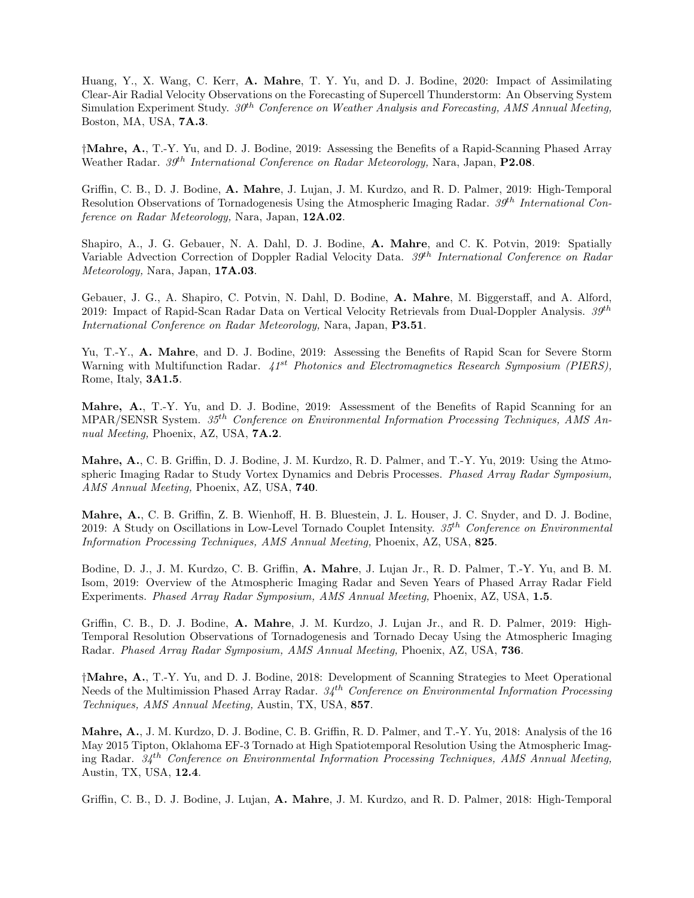Huang, Y., X. Wang, C. Kerr, A. Mahre, T. Y. Yu, and D. J. Bodine, 2020: Impact of Assimilating Clear-Air Radial Velocity Observations on the Forecasting of Supercell Thunderstorm: An Observing System Simulation Experiment Study.  $30<sup>th</sup> Conference on Weather Analysis and Forecasting, AMS Annual Meeting,$ Boston, MA, USA, 7A.3.

†Mahre, A., T.-Y. Yu, and D. J. Bodine, 2019: Assessing the Benefits of a Rapid-Scanning Phased Array Weather Radar. 39<sup>th</sup> International Conference on Radar Meteorology, Nara, Japan, P2.08.

Griffin, C. B., D. J. Bodine, A. Mahre, J. Lujan, J. M. Kurdzo, and R. D. Palmer, 2019: High-Temporal Resolution Observations of Tornadogenesis Using the Atmospheric Imaging Radar.  $39<sup>th</sup> International Con$ ference on Radar Meteorology, Nara, Japan, 12A.02.

Shapiro, A., J. G. Gebauer, N. A. Dahl, D. J. Bodine, A. Mahre, and C. K. Potvin, 2019: Spatially Variable Advection Correction of Doppler Radial Velocity Data. 39<sup>th</sup> International Conference on Radar Meteorology, Nara, Japan, 17A.03.

Gebauer, J. G., A. Shapiro, C. Potvin, N. Dahl, D. Bodine, A. Mahre, M. Biggerstaff, and A. Alford, 2019: Impact of Rapid-Scan Radar Data on Vertical Velocity Retrievals from Dual-Doppler Analysis.  $39^{th}$ International Conference on Radar Meteorology, Nara, Japan, **P3.51**.

Yu, T.-Y., A. Mahre, and D. J. Bodine, 2019: Assessing the Benefits of Rapid Scan for Severe Storm Warning with Multifunction Radar.  $41^{st}$  Photonics and Electromagnetics Research Symposium (PIERS), Rome, Italy, 3A1.5.

Mahre, A., T.-Y. Yu, and D. J. Bodine, 2019: Assessment of the Benefits of Rapid Scanning for an MPAR/SENSR System.  $35<sup>th</sup>$  Conference on Environmental Information Processing Techniques, AMS Annual Meeting, Phoenix, AZ, USA, **7A.2**.

Mahre, A., C. B. Griffin, D. J. Bodine, J. M. Kurdzo, R. D. Palmer, and T.-Y. Yu, 2019: Using the Atmospheric Imaging Radar to Study Vortex Dynamics and Debris Processes. Phased Array Radar Symposium, AMS Annual Meeting, Phoenix, AZ, USA, 740.

Mahre, A., C. B. Griffin, Z. B. Wienhoff, H. B. Bluestein, J. L. Houser, J. C. Snyder, and D. J. Bodine, 2019: A Study on Oscillations in Low-Level Tornado Couplet Intensity.  $35<sup>th</sup>$  Conference on Environmental Information Processing Techniques, AMS Annual Meeting, Phoenix, AZ, USA, 825.

Bodine, D. J., J. M. Kurdzo, C. B. Griffin, A. Mahre, J. Lujan Jr., R. D. Palmer, T.-Y. Yu, and B. M. Isom, 2019: Overview of the Atmospheric Imaging Radar and Seven Years of Phased Array Radar Field Experiments. Phased Array Radar Symposium, AMS Annual Meeting, Phoenix, AZ, USA, 1.5.

Griffin, C. B., D. J. Bodine, A. Mahre, J. M. Kurdzo, J. Lujan Jr., and R. D. Palmer, 2019: High-Temporal Resolution Observations of Tornadogenesis and Tornado Decay Using the Atmospheric Imaging Radar. Phased Array Radar Symposium, AMS Annual Meeting, Phoenix, AZ, USA, 736.

†Mahre, A., T.-Y. Yu, and D. J. Bodine, 2018: Development of Scanning Strategies to Meet Operational Needs of the Multimission Phased Array Radar.  $34^{th}$  Conference on Environmental Information Processing Techniques, AMS Annual Meeting, Austin, TX, USA, 857.

Mahre, A., J. M. Kurdzo, D. J. Bodine, C. B. Griffin, R. D. Palmer, and T.-Y. Yu, 2018: Analysis of the 16 May 2015 Tipton, Oklahoma EF-3 Tornado at High Spatiotemporal Resolution Using the Atmospheric Imaging Radar.  $34<sup>th</sup>$  Conference on Environmental Information Processing Techniques, AMS Annual Meeting, Austin, TX, USA, 12.4.

Griffin, C. B., D. J. Bodine, J. Lujan, A. Mahre, J. M. Kurdzo, and R. D. Palmer, 2018: High-Temporal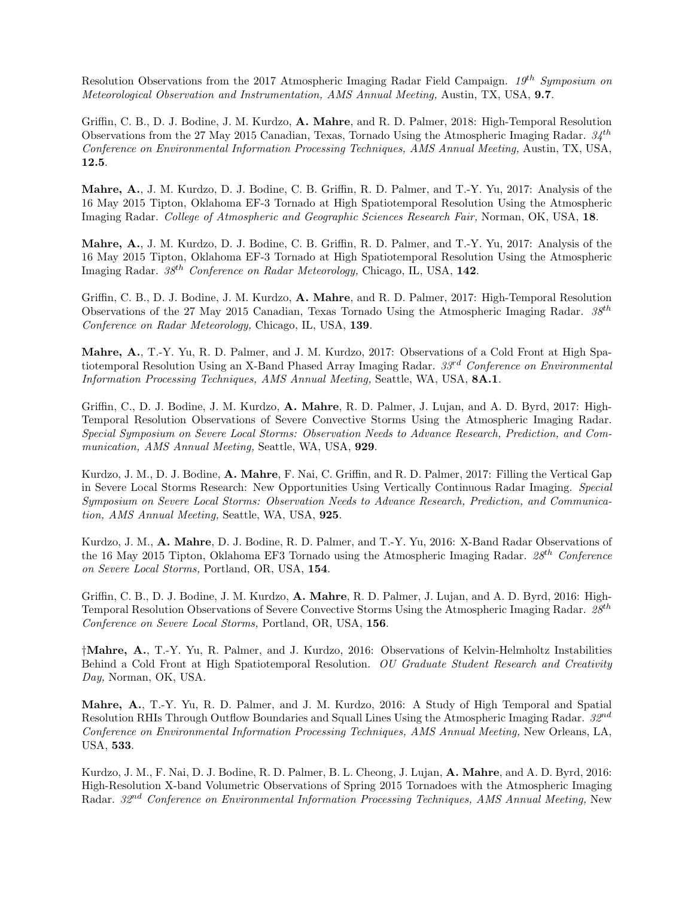Resolution Observations from the 2017 Atmospheric Imaging Radar Field Campaign. 19<sup>th</sup> Symposium on Meteorological Observation and Instrumentation, AMS Annual Meeting, Austin, TX, USA, 9.7.

Griffin, C. B., D. J. Bodine, J. M. Kurdzo, A. Mahre, and R. D. Palmer, 2018: High-Temporal Resolution Observations from the 27 May 2015 Canadian, Texas, Tornado Using the Atmospheric Imaging Radar.  $34^{th}$ Conference on Environmental Information Processing Techniques, AMS Annual Meeting, Austin, TX, USA, 12.5.

Mahre, A., J. M. Kurdzo, D. J. Bodine, C. B. Griffin, R. D. Palmer, and T.-Y. Yu, 2017: Analysis of the 16 May 2015 Tipton, Oklahoma EF-3 Tornado at High Spatiotemporal Resolution Using the Atmospheric Imaging Radar. College of Atmospheric and Geographic Sciences Research Fair, Norman, OK, USA, 18.

Mahre, A., J. M. Kurdzo, D. J. Bodine, C. B. Griffin, R. D. Palmer, and T.-Y. Yu, 2017: Analysis of the 16 May 2015 Tipton, Oklahoma EF-3 Tornado at High Spatiotemporal Resolution Using the Atmospheric Imaging Radar.  $38^{th}$  Conference on Radar Meteorology, Chicago, IL, USA, 142.

Griffin, C. B., D. J. Bodine, J. M. Kurdzo, A. Mahre, and R. D. Palmer, 2017: High-Temporal Resolution Observations of the 27 May 2015 Canadian, Texas Tornado Using the Atmospheric Imaging Radar.  $38^{th}$ Conference on Radar Meteorology, Chicago, IL, USA, 139.

Mahre, A., T.-Y. Yu, R. D. Palmer, and J. M. Kurdzo, 2017: Observations of a Cold Front at High Spatiotemporal Resolution Using an X-Band Phased Array Imaging Radar.  $33^{rd}$  Conference on Environmental Information Processing Techniques, AMS Annual Meeting, Seattle, WA, USA, 8A.1.

Griffin, C., D. J. Bodine, J. M. Kurdzo, A. Mahre, R. D. Palmer, J. Lujan, and A. D. Byrd, 2017: High-Temporal Resolution Observations of Severe Convective Storms Using the Atmospheric Imaging Radar. Special Symposium on Severe Local Storms: Observation Needs to Advance Research, Prediction, and Communication, AMS Annual Meeting, Seattle, WA, USA, 929.

Kurdzo, J. M., D. J. Bodine, A. Mahre, F. Nai, C. Griffin, and R. D. Palmer, 2017: Filling the Vertical Gap in Severe Local Storms Research: New Opportunities Using Vertically Continuous Radar Imaging. Special Symposium on Severe Local Storms: Observation Needs to Advance Research, Prediction, and Communication, AMS Annual Meeting, Seattle, WA, USA, 925.

Kurdzo, J. M., A. Mahre, D. J. Bodine, R. D. Palmer, and T.-Y. Yu, 2016: X-Band Radar Observations of the 16 May 2015 Tipton, Oklahoma EF3 Tornado using the Atmospheric Imaging Radar.  $28<sup>th</sup>$  Conference on Severe Local Storms, Portland, OR, USA, 154.

Griffin, C. B., D. J. Bodine, J. M. Kurdzo, A. Mahre, R. D. Palmer, J. Lujan, and A. D. Byrd, 2016: High-Temporal Resolution Observations of Severe Convective Storms Using the Atmospheric Imaging Radar.  $28^{th}$ Conference on Severe Local Storms, Portland, OR, USA, 156.

†Mahre, A., T.-Y. Yu, R. Palmer, and J. Kurdzo, 2016: Observations of Kelvin-Helmholtz Instabilities Behind a Cold Front at High Spatiotemporal Resolution. OU Graduate Student Research and Creativity Day, Norman, OK, USA.

Mahre, A., T.-Y. Yu, R. D. Palmer, and J. M. Kurdzo, 2016: A Study of High Temporal and Spatial Resolution RHIs Through Outflow Boundaries and Squall Lines Using the Atmospheric Imaging Radar. 32<sup>nd</sup> Conference on Environmental Information Processing Techniques, AMS Annual Meeting, New Orleans, LA, USA, 533.

Kurdzo, J. M., F. Nai, D. J. Bodine, R. D. Palmer, B. L. Cheong, J. Lujan, A. Mahre, and A. D. Byrd, 2016: High-Resolution X-band Volumetric Observations of Spring 2015 Tornadoes with the Atmospheric Imaging Radar. 32<sup>nd</sup> Conference on Environmental Information Processing Techniques, AMS Annual Meeting, New